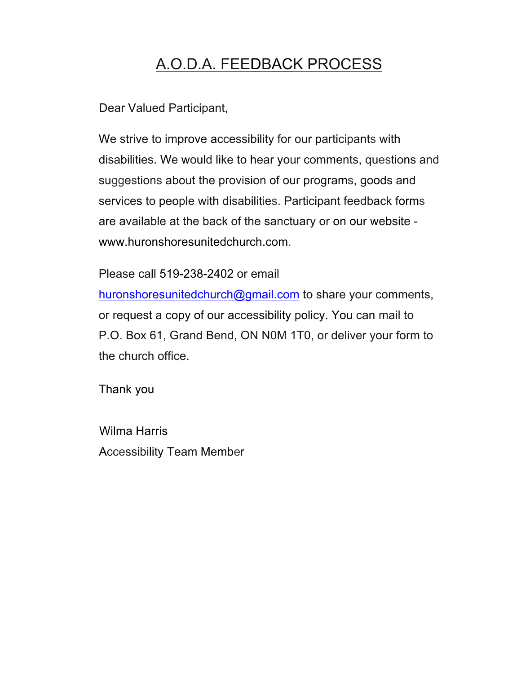## A.O.D.A. FEEDBACK PROCESS

Dear Valued Participant,

We strive to improve accessibility for our participants with disabilities. We would like to hear your comments, questions and suggestions about the provision of our programs, goods and services to people with disabilities. Participant feedback forms are available at the back of the sanctuary or on our website www.huronshoresunitedchurch.com.

Please call 519-238-2402 or email

huronshoresunitedchurch@gmail.com to share your comments, or request a copy of our accessibility policy. You can mail to P.O. Box 61, Grand Bend, ON N0M 1T0, or deliver your form to the church office.

Thank you

Wilma Harris Accessibility Team Member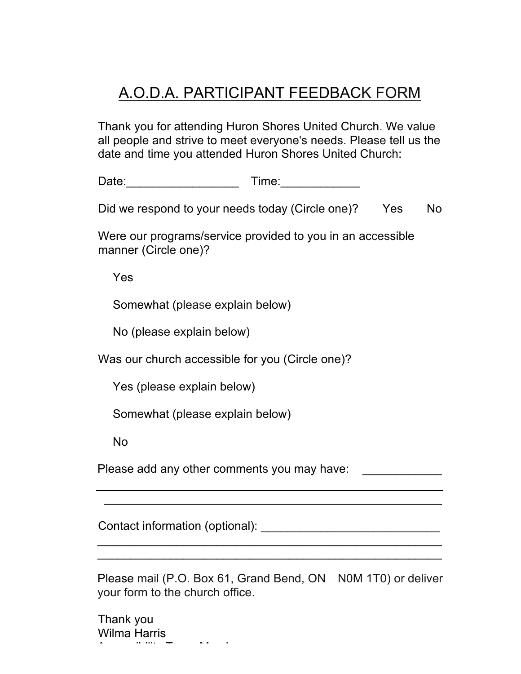## A.O.D.A. PARTICIPANT FEEDBACK FORM

Thank you for attending Huron Shores United Church. We value all people and strive to meet everyone's needs. Please tell us the date and time you attended Huron Shores United Church:

Date:\_\_\_\_\_\_\_\_\_\_\_\_\_\_\_\_\_ Time:\_\_\_\_\_\_\_\_\_\_\_\_

Did we respond to your needs today (Circle one)? Yes No

Were our programs/service provided to you in an accessible manner (Circle one)?

Yes

Somewhat (please explain below)

No (please explain below)

Was our church accessible for you (Circle one)?

Yes (please explain below)

Somewhat (please explain below)

No

Please add any other comments you may have:

Contact information (optional): \_\_\_\_\_\_\_\_\_\_\_\_\_\_\_\_\_\_\_\_\_\_\_\_\_\_\_

Please mail (P.O. Box 61, Grand Bend, ON N0M 1T0) or deliver your form to the church office.

\_\_\_\_\_\_\_\_\_\_\_\_\_\_\_\_\_\_\_\_\_\_\_\_\_\_\_\_\_\_\_\_\_\_\_\_\_\_\_\_\_\_\_\_\_\_\_\_\_\_\_\_  $\mathcal{L}_\text{max}$  , and the contract of the contract of the contract of the contract of the contract of the contract of the contract of the contract of the contract of the contract of the contract of the contract of the contr

\_\_\_\_\_\_\_\_\_\_\_\_\_\_\_\_\_\_\_\_\_\_\_\_\_\_\_\_\_\_\_\_\_\_\_\_\_\_\_\_\_\_\_\_\_\_\_\_\_\_\_

Thank you Wilma Harris Accessibility Team Member